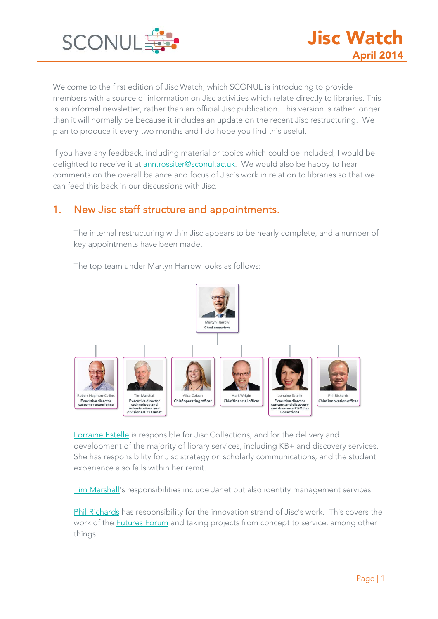

Welcome to the first edition of Jisc Watch, which SCONUL is introducing to provide members with a source of information on Jisc activities which relate directly to libraries. This is an informal newsletter, rather than an official Jisc publication. This version is rather longer than it will normally be because it includes an update on the recent Jisc restructuring. We plan to produce it every two months and I do hope you find this useful.

If you have any feedback, including material or topics which could be included, I would be delighted to receive it at [ann.rossiter@sconul.ac.uk.](mailto:ann.rossiter@sconul.ac.uk) We would also be happy to hear comments on the overall balance and focus of Jisc's work in relation to libraries so that we can feed this back in our discussions with Jisc.

# 1. New Jisc staff structure and appointments.

The internal restructuring within Jisc appears to be nearly complete, and a number of key appointments have been made.

Martyn Harro Chiefexecutive Robert Haymon-Colline **Tim Marshall** Alice Colbar Mark Wright Lorraine Fetalle Phil Richards Executive director<br>content and discovery<br>and divisional CEO Jisc<br>Collections Chief operating office Chief financial office Chief innovation off Executive director Executive directo technology and<br>infrastructure and<br>divisional CEO Janet

The top team under Martyn Harrow looks as follows:

[Lorraine Estelle](http://www.jisc.ac.uk/staff/lorraine-estelle) is responsible for Jisc Collections, and for the delivery and development of the majority of library services, including KB+ and discovery services. She has responsibility for Jisc strategy on scholarly communications, and the student experience also falls within her remit.

[Tim Marshall'](http://www.jisc.ac.uk/staff/tim-marshall)s responsibilities include Janet but also identity management services.

[Phil Richards](http://www.jisc.ac.uk/news/dr-phil-richards-to-be-the-next-chief-innovation-officer-at-jisc-12-aug-2013) has responsibility for the innovation strand of Jisc's work. This covers the work of the **[Futures](#page-3-0) Forum** and taking projects from concept to service, among other things.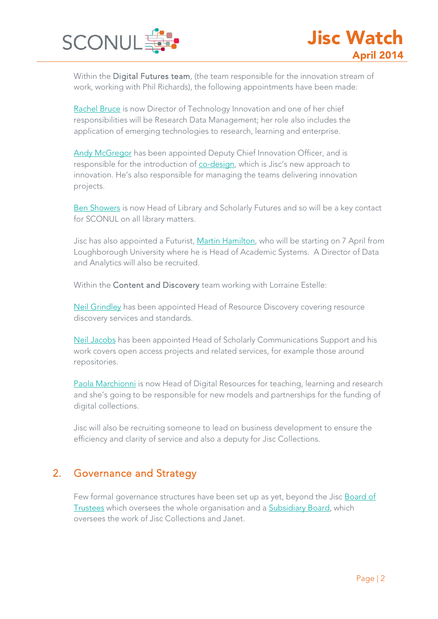

Within the Digital Futures team, (the team responsible for the innovation stream of work, working with Phil Richards), the following appointments have been made:

[Rachel Bruce](http://www.jisc.ac.uk/staff/rachel-bruce) is now Director of Technology Innovation and one of her chief responsibilities will be Research Data Management; her role also includes the application of emerging technologies to research, learning and enterprise.

[Andy McGregor](http://www.jisc.ac.uk/staff/andrew-mcgregor) has been appointed Deputy Chief Innovation Officer, and is responsible for the introduction of [co-design,](#page-2-0) which is Jisc's new approach to innovation. He's also responsible for managing the teams delivering innovation projects.

[Ben Showers](http://www.jisc.ac.uk/staff/ben-showers) is now Head of Library and Scholarly Futures and so will be a key contact for SCONUL on all library matters.

Jisc has also appointed a Futurist, [Martin Hamilton,](http://blog.martinh.net/) who will be starting on 7 April from Loughborough University where he is Head of Academic Systems. A Director of Data and Analytics will also be recruited.

Within the Content and Discovery team working with Lorraine Estelle:

[Neil Grindley](http://www.jisc.ac.uk/staff/neil-grindley) has been appointed Head of Resource Discovery covering resource discovery services and standards.

[Neil Jacobs](http://www.jisc.ac.uk/staff/neil-jacobs) has been appointed Head of Scholarly Communications Support and his work covers open access projects and related services, for example those around repositories.

[Paola Marchionni](http://www.jisc.ac.uk/staff/paola-marchionni) is now Head of Digital Resources for teaching, learning and research and she's going to be responsible for new models and partnerships for the funding of digital collections.

Jisc will also be recruiting someone to lead on business development to ensure the efficiency and clarity of service and also a deputy for Jisc Collections.

# 2. Governance and Strategy

Few formal governance structures have been set up as yet, beyond the Jisc [Board of](http://www.jisc.ac.uk/about/corporate/board)  [Trustees](http://www.jisc.ac.uk/about/corporate/board) which oversees the whole organisation and a [Subsidiary Board,](http://www.jisc.ac.uk/about/corporate/subsidiary-board) which oversees the work of Jisc Collections and Janet.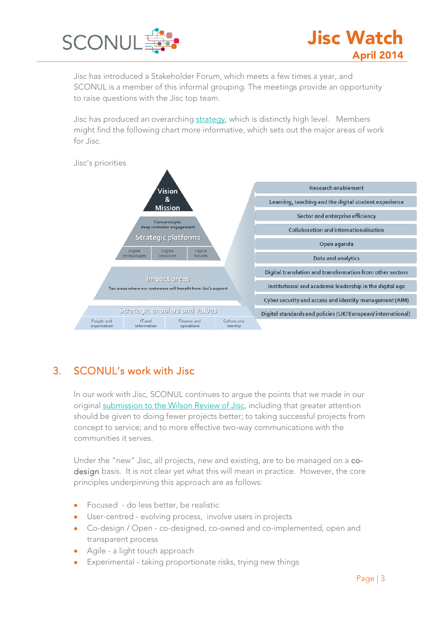

Jisc has introduced a Stakeholder Forum, which meets a few times a year, and SCONUL is a member of this informal grouping. The meetings provide an opportunity to raise questions with the Jisc top team.

Jisc has produced an overarching [strategy,](http://www.jisc.ac.uk/reports/jisc-strategy-2013-16) which is distinctly high level. Members might find the following chart more informative, which sets out the major areas of work for Jisc.

<span id="page-2-1"></span>

# 3. SCONUL's work with Jisc

In our work with Jisc, SCONUL continues to argue the points that we made in our original [submission to the Wilson Review of Jisc,](http://www.sconul.ac.uk/sites/default/files/SCONUL%20response%20to%20HEFCE%20review%20of%20JISC.pdf) including that greater attention should be given to doing fewer projects better; to taking successful projects from concept to service; and to more effective two-way communications with the communities it serves.

<span id="page-2-0"></span>Under the "new" Jisc, all projects, new and existing, are to be managed on a codesign basis. It is not clear yet what this will mean in practice. However, the core principles underpinning this approach are as follows:

- Focused do less better, be realistic
- User-centred evolving process, involve users in projects
- Co-design / Open co-designed, co-owned and co-implemented, open and transparent process
- Agile a light touch approach
- Experimental taking proportionate risks, trying new things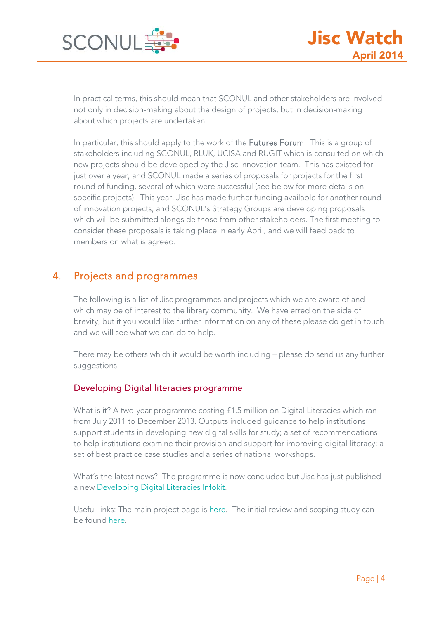

In practical terms, this should mean that SCONUL and other stakeholders are involved not only in decision-making about the design of projects, but in decision-making about which projects are undertaken.

<span id="page-3-0"></span>In particular, this should apply to the work of the Futures Forum. This is a group of stakeholders including SCONUL, RLUK, UCISA and RUGIT which is consulted on which new projects should be developed by the Jisc innovation team. This has existed for just over a year, and SCONUL made a series of proposals for projects for the first round of funding, several of which were successful (see below for more details on specific projects). This year, Jisc has made further funding available for another round of innovation projects, and SCONUL's Strategy Groups are developing proposals which will be submitted alongside those from other stakeholders. The first meeting to consider these proposals is taking place in early April, and we will feed back to members on what is agreed.

# 4. Projects and programmes

The following is a list of Jisc programmes and projects which we are aware of and which may be of interest to the library community. We have erred on the side of brevity, but it you would like further information on any of these please do get in touch and we will see what we can do to help.

There may be others which it would be worth including – please do send us any further suggestions.

# Developing Digital literacies programme

What is it? A two-year programme costing £1.5 million on Digital Literacies which ran from July 2011 to December 2013. Outputs included guidance to help institutions support students in developing new digital skills for study; a set of recommendations to help institutions examine their provision and support for improving digital literacy; a set of best practice case studies and a series of national workshops.

What's the latest news? The programme is now concluded but Jisc has just published a new [Developing Digital Literacies Infokit.](http://www.jiscinfonet.ac.uk/infokits/digital-literacies/)

Useful links: The main project page is [here.](http://www.jisc.ac.uk/whatwedo/programmes/elearning/developingdigitalliteracies.aspx) The initial review and scoping study can be found [here.](http://www.jisc.ac.uk/media/documents/programmes/elearning/DigitalLiteraciesReview.pdf)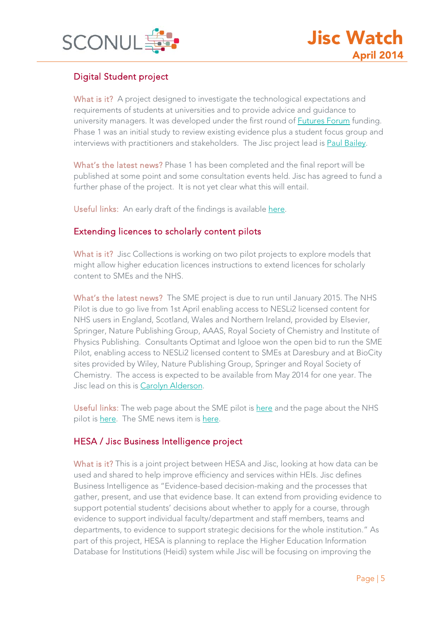

# Digital Student project

What is it? A project designed to investigate the technological expectations and requirements of students at universities and to provide advice and guidance to university managers. It was developed under the first round of **Futures Forum** funding. Phase 1 was an initial study to review existing evidence plus a student focus group and interviews with practitioners and stakeholders. The Jisc project lead is [Paul Bailey.](http://www.jisc.ac.uk/staff/paul-bailey)

What's the latest news? Phase 1 has been completed and the final report will be published at some point and some consultation events held. Jisc has agreed to fund a further phase of the project. It is not yet clear what this will entail.

Useful links: An early draft of the findings is available [here.](http://jiscdesignstudio.pbworks.com/w/page/69725309/students)

# Extending licences to scholarly content pilots

What is it? Jisc Collections is working on two pilot projects to explore models that might allow higher education licences instructions to extend licences for scholarly content to SMEs and the NHS.

What's the latest news? The SME project is due to run until January 2015. The NHS Pilot is due to go live from 1st April enabling access to NESLi2 licensed content for NHS users in England, Scotland, Wales and Northern Ireland, provided by Elsevier, Springer, Nature Publishing Group, AAAS, Royal Society of Chemistry and Institute of Physics Publishing. Consultants Optimat and Iglooe won the open bid to run the SME Pilot, enabling access to NESLi2 licensed content to SMEs at Daresbury and at BioCity sites provided by Wiley, Nature Publishing Group, Springer and Royal Society of Chemistry. The access is expected to be available from May 2014 for one year. The Jisc lead on this is [Carolyn Alderson.](http://www.jisc-collections.ac.uk/contact-us/staff-list/)

Useful links: The web page about the SME pilot is [here](https://www.jisc-collections.ac.uk/nesli2/SME-Pilot-/) and the page about the NHS pilot is [here.](https://www.jisc-collections.ac.uk/News/SME-Pilot/) The SME news item is here.

# HESA / Jisc Business Intelligence project

What is it? This is a joint project between HESA and Jisc, looking at how data can be used and shared to help improve efficiency and services within HEIs. Jisc defines Business Intelligence as "Evidence-based decision-making and the processes that gather, present, and use that evidence base. It can extend from providing evidence to support potential students' decisions about whether to apply for a course, through evidence to support individual faculty/department and staff members, teams and departments, to evidence to support strategic decisions for the whole institution." As part of this project, HESA is planning to replace the Higher Education Information Database for Institutions (Heidi) system while Jisc will be focusing on improving the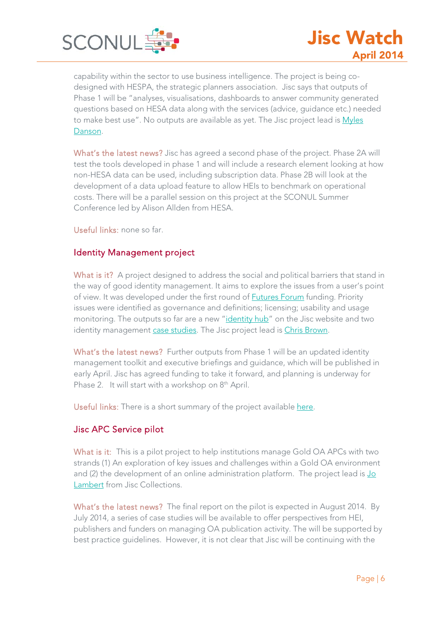

capability within the sector to use business intelligence. The project is being codesigned with HESPA, the strategic planners association. Jisc says that outputs of Phase 1 will be "analyses, visualisations, dashboards to answer community generated questions based on HESA data along with the services (advice, guidance etc.) needed to make best use". No outputs are available as yet. The Jisc project lead is Myles [Danson.](http://www.jisc.ac.uk/staff/myles-danson)

What's the latest news? Jisc has agreed a second phase of the project. Phase 2A will test the tools developed in phase 1 and will include a research element looking at how non-HESA data can be used, including subscription data. Phase 2B will look at the development of a data upload feature to allow HEIs to benchmark on operational costs. There will be a parallel session on this project at the SCONUL Summer Conference led by Alison Allden from HESA.

Useful links: none so far.

# Identity Management project

What is it? A project designed to address the social and political barriers that stand in the way of good identity management. It aims to explore the issues from a user's point of view. It was developed under the first round of **Futures Forum** funding. Priority issues were identified as governance and definitions; licensing; usability and usage monitoring. The outputs so far are a new ["identity hub"](http://www.jiscinfonet.ac.uk/topics/access-identity-management) on the Jisc website and two identity management [case studies.](https://identitymanagementinfokit.pbworks.com/w/page/55023995/Toolkit%20Case%20Studies) The Jisc project lead i[s Chris Brown.](http://www.jisc.ac.uk/staff/christopher-brown)

What's the latest news? Further outputs from Phase 1 will be an updated identity management toolkit and executive briefings and guidance, which will be published in early April. Jisc has agreed funding to take it forward, and planning is underway for Phase 2. It will start with a workshop on 8<sup>th</sup> April.

Useful links: There is a short summary of the project available [here.](http://idmco.jiscinvolve.org/wp/about/)

# Jisc APC Service pilot

What is it: This is a pilot project to help institutions manage Gold OA APCs with two strands (1) An exploration of key issues and challenges within a Gold OA environment and (2) the development of an online administration platform. The project lead is Jo [Lambert](http://mimas.ac.uk/people/jo-lambert/) from Jisc Collections.

What's the latest news? The final report on the pilot is expected in August 2014. By July 2014, a series of case studies will be available to offer perspectives from HEI, publishers and funders on managing OA publication activity. The will be supported by best practice guidelines. However, it is not clear that Jisc will be continuing with the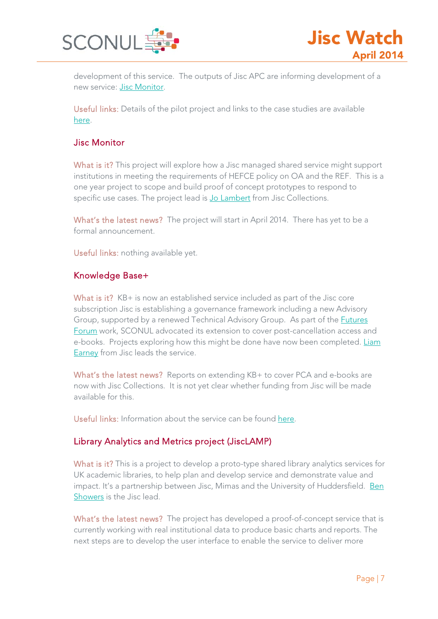

development of this service. The outputs of Jisc APC are informing development of a new service: [Jisc Monitor.](#page-6-0)

Useful links: Details of the pilot project and links to the case studies are available [here.](https://www.jisc-collections.ac.uk/Jisc-APC-project/About-the-Jisc-APC-pilot/)

# <span id="page-6-0"></span>Jisc Monitor

What is it? This project will explore how a Jisc managed shared service might support institutions in meeting the requirements of HEFCE policy on OA and the REF. This is a one year project to scope and build proof of concept prototypes to respond to specific use cases. The project lead is [Jo Lambert](http://mimas.ac.uk/people/jo-lambert/) from Jisc Collections.

What's the latest news? The project will start in April 2014. There has yet to be a formal announcement.

Useful links: nothing available yet.

# <span id="page-6-1"></span>Knowledge Base+

What is it? KB+ is now an established service included as part of the Jisc core subscription Jisc is establishing a governance framework including a new Advisory Group, supported by a renewed Technical Advisory Group. As part of the [Futures](#page-3-0)  [Forum](#page-3-0) work, SCONUL advocated its extension to cover post-cancellation access and e-books. Projects exploring how this might be done have now been completed. [Liam](http://www.jisc-collections.ac.uk/contact-us/staff-list/)  [Earney](http://www.jisc-collections.ac.uk/contact-us/staff-list/) from Jisc leads the service.

What's the latest news? Reports on extending KB+ to cover PCA and e-books are now with Jisc Collections. It is not yet clear whether funding from Jisc will be made available for this.

Useful links: Information about the service can be found [here.](http://www.kbplus.ac.uk/kbplus/about)

# Library Analytics and Metrics project (JiscLAMP)

What is it? This is a project to develop a proto-type shared library analytics services for UK academic libraries, to help plan and develop service and demonstrate value and impact. It's a partnership between Jisc, Mimas and the University of Huddersfield. Ben [Showers](http://www.jisc.ac.uk/staff/ben-showers) is the Jisc lead.

What's the latest news? The project has developed a proof-of-concept service that is currently working with real institutional data to produce basic charts and reports. The next steps are to develop the user interface to enable the service to deliver more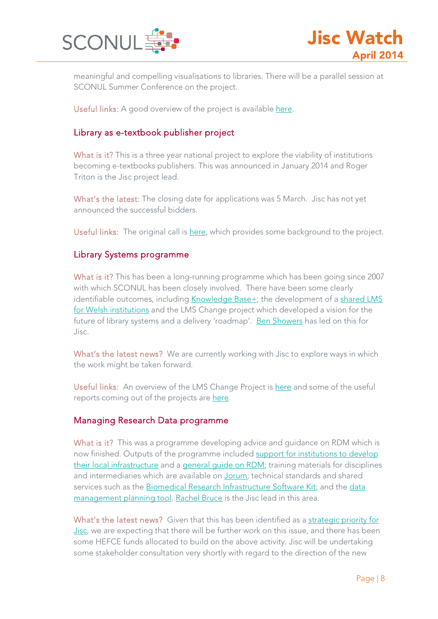

meaningful and compelling visualisations to libraries. There will be a parallel session at SCONUL Summer Conference on the project.

Useful links: A good overview of the project is available [here.](http://jisclamp.mimas.ac.uk/about-lamp/)

# Library as e-textbook publisher project

What is it? This is a three year national project to explore the viability of institutions becoming e-textbooks publishers. This was announced in January 2014 and Roger Triton is the Jisc project lead.

What's the latest: The closing date for applications was 5 March. Jisc has not yet announced the successful bidders.

Useful links: The original call is [here,](https://www.jisc-collections.ac.uk/News/Institution-as-e-textbook-publisher-call-for-particiation/) which provides some background to the project.

# Library Systems programme

What is it? This has been a long-running programme which has been going since 2007 with which SCONUL has been closely involved. There have been some clearly identifiable outcomes, including [Knowledge Base+;](#page-6-1) the development of a shared LMS [for Welsh institutions](http://blogs.cardiff.ac.uk/sharedlms/welsh-higher-education-libraries-shared-lms-services/) and the LMS Change project which developed a vision for the future of library systems and a delivery 'roadmap'. [Ben Showers](http://www.jisc.ac.uk/staff/ben-showers) has led on this for Jisc.

What's the latest news? We are currently working with Jisc to explore ways in which the work might be taken forward.

Useful links: An overview of the LMS Change Project is [here](http://lmsguidance.jiscinvolve.org/wp/about-lms-change/) and some of the useful reports coming out of the projects are [here.](http://lmsguidance.jiscinvolve.org/wp/jisc-projects/)

#### Managing Research Data programme

What is it? This was a programme developing advice and quidance on RDM which is now finished. Outputs of the programme included [support for institutions to develop](http://www.jisc.ac.uk/whatwedo/programmes/di_researchmanagement/managingresearchdata/infrastructure.aspx)  [their local infrastructure](http://www.jisc.ac.uk/whatwedo/programmes/di_researchmanagement/managingresearchdata/infrastructure.aspx) and a [general guide on RDM;](http://www.dcc.ac.uk/resources/how-guides/how-develop-rdm-services) training materials for disciplines and intermediaries which are available on [Jorum;](http://find.jorum.ac.uk/) technical standards and shared services such as the [Biomedical Research Infrastructure Software Kit;](https://www.brisskit.le.ac.uk/) and the [data](https://dmponline.dcc.ac.uk/)  [management planning tool.](https://dmponline.dcc.ac.uk/) [Rachel Bruce](http://www.jisc.ac.uk/staff/rachel-bruce) is the Jisc lead in this area.

What's the latest news? Given that this has been identified as a [strategic priority for](#page-2-1)  [Jisc,](#page-2-1) we are expecting that there will be further work on this issue, and there has been some HEFCE funds allocated to build on the above activity. Jisc will be undertaking some stakeholder consultation very shortly with regard to the direction of the new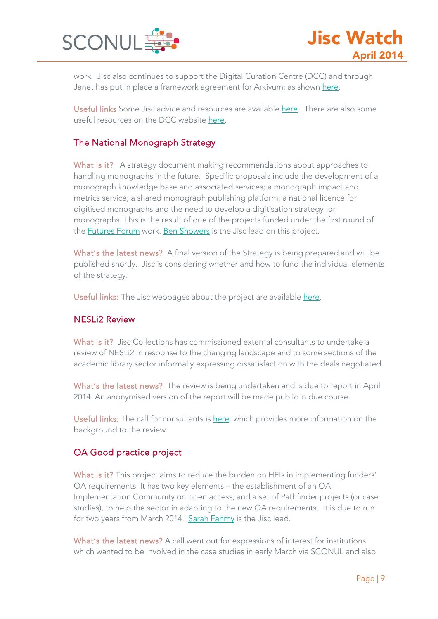

work. Jisc also continues to support the Digital Curation Centre (DCC) and through Janet has put in place a framework agreement for Arkivum; as shown [here.](https://www.ja.net/products-services/janet-cloud-services/data-archiving-framework)

Useful links Some Jisc advice and resources are available [here.](http://www.jisc.ac.uk/guides/research-data-management) There are also some useful resources on the DCC website [here.](http://www.dcc.ac.uk/resources/developing-rdm-services)

# The National Monograph Strategy

What is it? A strategy document making recommendations about approaches to handling monographs in the future. Specific proposals include the development of a monograph knowledge base and associated services; a monograph impact and metrics service; a shared monograph publishing platform; a national licence for digitised monographs and the need to develop a digitisation strategy for monographs. This is the result of one of the projects funded under the first round of the [Futures Forum](#page-3-0) work. [Ben Showers](http://www.jisc.ac.uk/staff/ben-showers) is the Jisc lead on this project.

What's the latest news? A final version of the Strategy is being prepared and will be published shortly. Jisc is considering whether and how to fund the individual elements of the strategy.

Useful links: The Jisc webpages about the project are available [here.](http://monographs.jiscinvolve.org/wp/)

# NESLi2 Review

What is it? Jisc Collections has commissioned external consultants to undertake a review of NESLi2 in response to the changing landscape and to some sections of the academic library sector informally expressing dissatisfaction with the deals negotiated.

What's the latest news? The review is being undertaken and is due to report in April 2014. An anonymised version of the report will be made public in due course.

Useful links: The call for consultants is [here,](https://www.jisc-collections.ac.uk/News/A-call-for-a-review-of-NESLi2/) which provides more information on the background to the review.

# OA Good practice project

What is it? This project aims to reduce the burden on HEIs in implementing funders' OA requirements. It has two key elements – the establishment of an OA Implementation Community on open access, and a set of Pathfinder projects (or case studies), to help the sector in adapting to the new OA requirements. It is due to run for two years from March 2014. [Sarah Fahmy](http://www.jisc.ac.uk/staff/sarah-fahmy) is the Jisc lead.

What's the latest news? A call went out for expressions of interest for institutions which wanted to be involved in the case studies in early March via SCONUL and also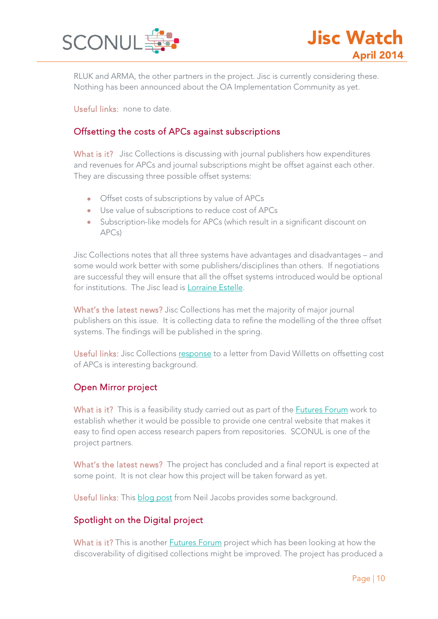

RLUK and ARMA, the other partners in the project. Jisc is currently considering these. Nothing has been announced about the OA Implementation Community as yet.

Useful links: none to date.

# Offsetting the costs of APCs against subscriptions

What is it? Jisc Collections is discussing with journal publishers how expenditures and revenues for APCs and journal subscriptions might be offset against each other. They are discussing three possible offset systems:

- Offset costs of subscriptions by value of APCs
- Use value of subscriptions to reduce cost of APCs
- Subscription-like models for APCs (which result in a significant discount on APCs)

Jisc Collections notes that all three systems have advantages and disadvantages – and some would work better with some publishers/disciplines than others. If negotiations are successful they will ensure that all the offset systems introduced would be optional for institutions. The Jisc lead is [Lorraine Estelle.](http://www.jisc.ac.uk/staff/lorraine-estelle)

What's the latest news? Jisc Collections has met the majority of major journal publishers on this issue. It is collecting data to refine the modelling of the three offset systems. The findings will be published in the spring.

Useful links: Jisc Collections [response](https://www.jisc-collections.ac.uk/News/JC-response-to-Finch-letter/) to a letter from David Willetts on offsetting cost of APCs is interesting background.

# Open Mirror project

What is it? This is a feasibility study carried out as part of the **Futures Forum** work to establish whether it would be possible to provide one central website that makes it easy to find open access research papers from repositories. SCONUL is one of the project partners.

What's the latest news? The project has concluded and a final report is expected at some point. It is not clear how this project will be taken forward as yet.

Useful links: This [blog post](http://www.jisc.ac.uk/blog/what-could-you-do-with-an-open-mirror-22-oct-2013) from Neil Jacobs provides some background.

# Spotlight on the Digital project

What is it? This is another [Futures Forum](#page-3-0) project which has been looking at how the discoverability of digitised collections might be improved. The project has produced a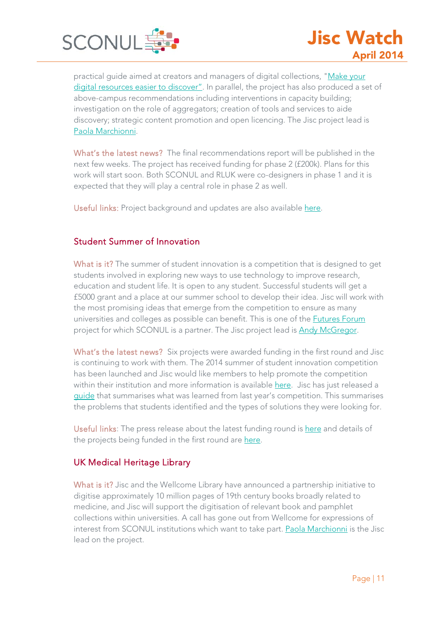

practical guide aimed at creators and managers of digital collections, ["Make your](http://www.jisc.ac.uk/guides/make-your-digital-resources-easier-to-discover)  [digital resources easier to discover"](http://www.jisc.ac.uk/guides/make-your-digital-resources-easier-to-discover). In parallel, the project has also produced a set of above-campus recommendations including interventions in capacity building; investigation on the role of aggregators; creation of tools and services to aide discovery; strategic content promotion and open licencing. The Jisc project lead is [Paola Marchionni.](http://www.jisc.ac.uk/staff/paola-marchionni)

What's the latest news? The final recommendations report will be published in the next few weeks. The project has received funding for phase 2 (£200k). Plans for this work will start soon. Both SCONUL and RLUK were co-designers in phase 1 and it is expected that they will play a central role in phase 2 as well.

Useful links: Project background and updates are also available [here.](http://digitisation.jiscinvolve.org/wp/category/spotlight/)

# Student Summer of Innovation

What is it? The summer of student innovation is a competition that is designed to get students involved in exploring new ways to use technology to improve research, education and student life. It is open to any student. Successful students will get a £5000 grant and a place at our summer school to develop their idea. Jisc will work with the most promising ideas that emerge from the competition to ensure as many universities and colleges as possible can benefit. This is one of the [Futures Forum](#page-3-0) project for which SCONUL is a partner. The Jisc project lead is [Andy McGregor.](http://www.jisc.ac.uk/staff/andrew-mcgregor)

What's the latest news? Six projects were awarded funding in the first round and Jisc is continuing to work with them. The 2014 summer of student innovation competition has been launched and Jisc would like members to help promote the competition within their institution and more information is available [here.](http://elevator.jisc.ac.uk/sosi14/) Jisc has just released a [guide](http://www.jisc.ac.uk/advice/student-experience.) that summarises what was learned from last year's competition. This summarises the problems that students identified and the types of solutions they were looking for.

Useful links: The press release about the latest funding round i[s here](http://www.jisc.ac.uk/news/registration-opens-for-jiscs-summer-of-student-innovation-2014-27-feb-2014) and details of the projects being funded in the first round are [here.](http://www.jisc.ac.uk/student-innovation)

# UK Medical Heritage Library

What is it? Jisc and the Wellcome Library have announced a partnership initiative to digitise approximately 10 million pages of 19th century books broadly related to medicine, and Jisc will support the digitisation of relevant book and pamphlet collections within universities. A call has gone out from Wellcome for expressions of interest from SCONUL institutions which want to take part. [Paola Marchionni](http://www.jisc.ac.uk/staff/paola-marchionni) is the Jisc lead on the project.